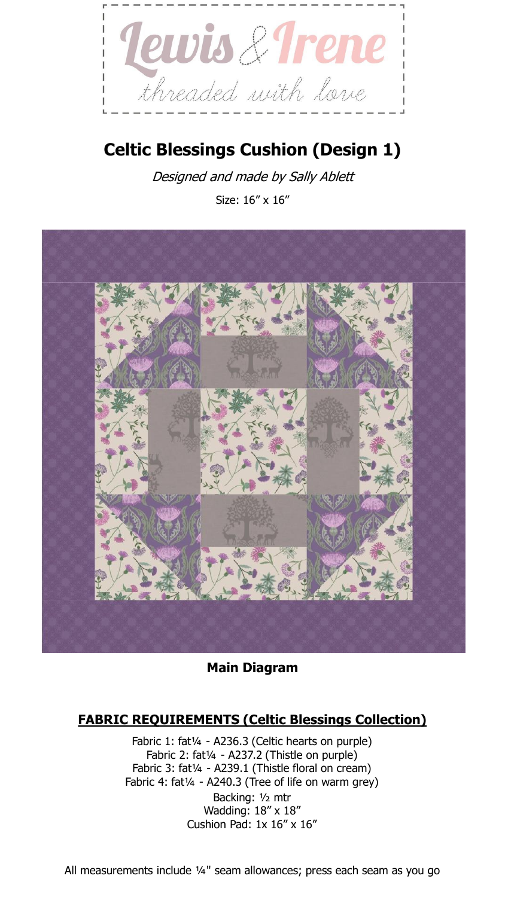

# **Celtic Blessings Cushion (Design 1)**

Designed and made by Sally Ablett Size: 16" x 16"



**Main Diagram**

## **FABRIC REQUIREMENTS (Celtic Blessings Collection)**

Fabric 1: fat1/4 - A236.3 (Celtic hearts on purple) Fabric 2: fat1/4 - A237.2 (Thistle on purple) Fabric 3: fat¼ - A239.1 (Thistle floral on cream) Fabric 4: fat<sup>1/4</sup> - A240.3 (Tree of life on warm grey) Backing: ½ mtr Wadding: 18" x 18" Cushion Pad:  $1x 16''$  x  $16''$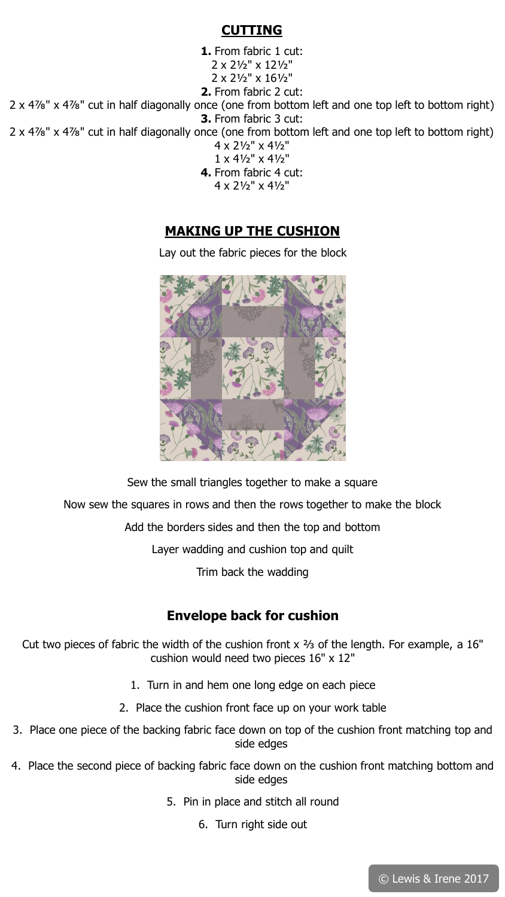#### **CUTTING**

**1.** From fabric 1 cut: 2 x 2½" x 12½" 2 x 2½" x 16½" **2.** From fabric 2 cut:

2 x 4⅞" x 4⅞" cut in half diagonally once (one from bottom left and one top left to bottom right) **3.** From fabric 3 cut:

2 x 4⅞" x 4⅞" cut in half diagonally once (one from bottom left and one top left to bottom right)

- 4 x 2½" x 4½" 1 x 4½" x 4½"
- **4.** From fabric 4 cut:
	- 4 x 2½" x 4½"

## **MAKING UP THE CUSHION**

Lay out the fabric pieces for the block



Sew the small triangles together to make a square Now sew the squares in rows and then the rows together to make the block Add the borders sides and then the top and bottom Layer wadding and cushion top and quilt Trim back the wadding

### **Envelope back for cushion**

Cut two pieces of fabric the width of the cushion front x ⅔ of the length. For example, a 16" cushion would need two pieces 16" x 12"

- 1. Turn in and hem one long edge on each piece
- 2. Place the cushion front face up on your work table
- 3. Place one piece of the backing fabric face down on top of the cushion front matching top and side edges
- 4. Place the second piece of backing fabric face down on the cushion front matching bottom and side edges
	- 5. Pin in place and stitch all round
		- 6. Turn right side out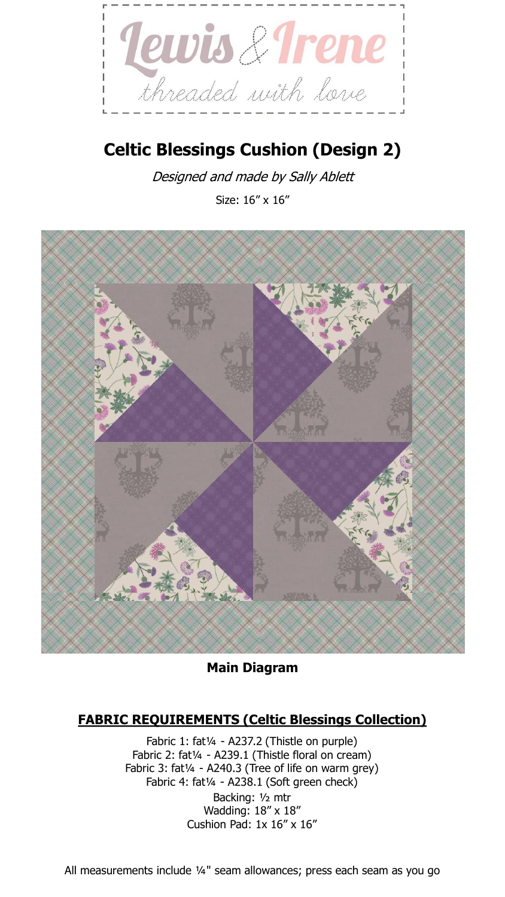

# **Celtic Blessings Cushion (Design 2)**

Designed and made by Sally Ablett Size: 16" x 16"



**Main Diagram**

# **FABRIC REQUIREMENTS (Celtic Blessings Collection)**

Fabric 1: fat¼ - A237.2 (Thistle on purple) Fabric 2: fat1/4 - A239.1 (Thistle floral on cream) Fabric 3: fat<sup>1/4</sup> - A240.3 (Tree of life on warm grey) Fabric 4: fat1/4 - A238.1 (Soft green check) Backing: ½ mtr Wadding: 18" x 18" Cushion Pad:  $1x 16''$  x  $16''$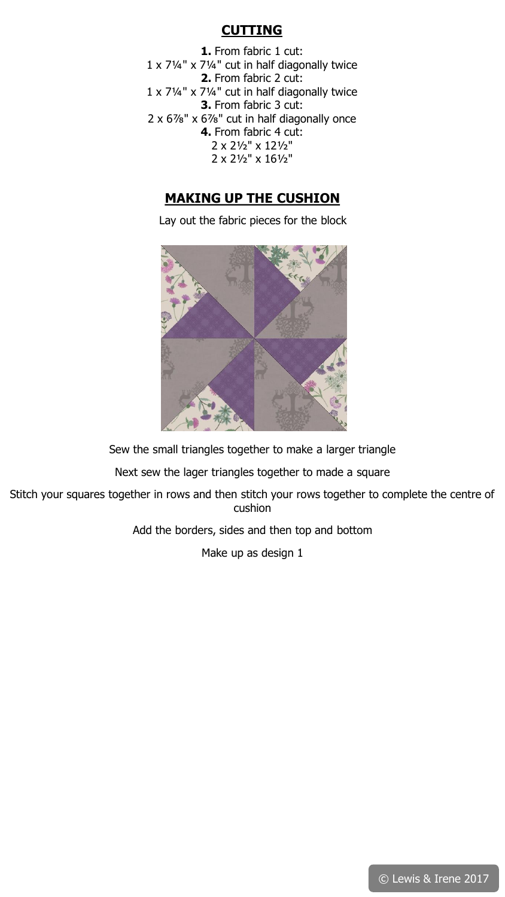## **CUTTING**

**1.** From fabric 1 cut: 1 x 7¼" x 7¼" cut in half diagonally twice **2.** From fabric 2 cut: 1 x 7¼" x 7¼" cut in half diagonally twice **3.** From fabric 3 cut: 2 x 6⅞" x 6⅞" cut in half diagonally once **4.** From fabric 4 cut: 2 x 2½" x 12½" 2 x 2½" x 16½"

### **MAKING UP THE CUSHION**

Lay out the fabric pieces for the block



Sew the small triangles together to make a larger triangle

Next sew the lager triangles together to made a square

Stitch your squares together in rows and then stitch your rows together to complete the centre of cushion

Add the borders, sides and then top and bottom

Make up as design 1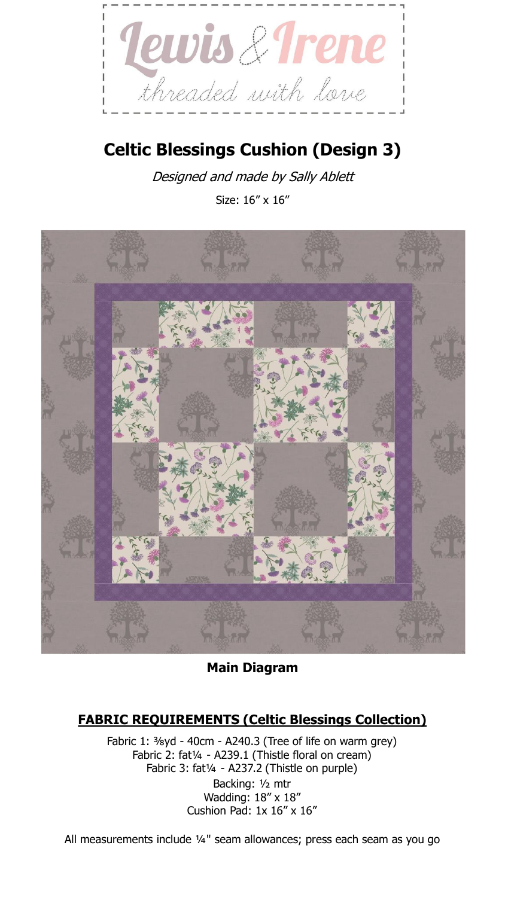

# **Celtic Blessings Cushion (Design 3)**

Designed and made by Sally Ablett

Size: 16" x 16"



**Main Diagram**

# **FABRIC REQUIREMENTS (Celtic Blessings Collection)**

Fabric 1: ⅜yd - 40cm - A240.3 (Tree of life on warm grey) Fabric 2: fat1/4 - A239.1 (Thistle floral on cream) Fabric 3: fat¼ - A237.2 (Thistle on purple) Backing: ½ mtr Wadding: 18" x 18" Cushion Pad: 1x 16" x 16"

All measurements include ¼" seam allowances; press each seam as you go